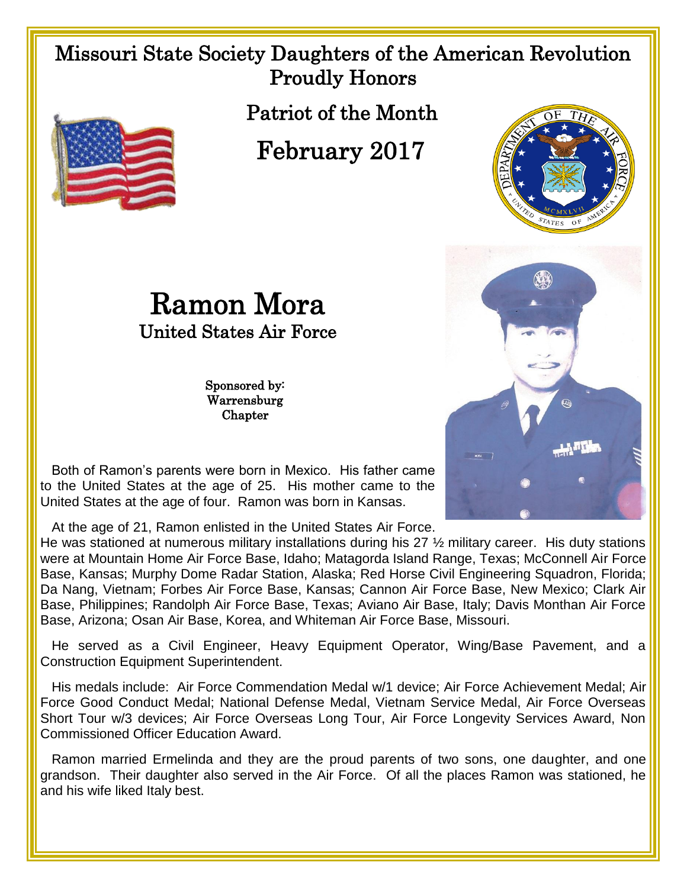## Missouri State Society Daughters of the American Revolution Proudly Honors



February 2017

Ramon Mora United States Air Force

> Sponsored by: Warrensburg Chapter





 Both of Ramon's parents were born in Mexico. His father came to the United States at the age of 25. His mother came to the United States at the age of four. Ramon was born in Kansas.

At the age of 21, Ramon enlisted in the United States Air Force.

He was stationed at numerous military installations during his 27 ½ military career. His duty stations were at Mountain Home Air Force Base, Idaho; Matagorda Island Range, Texas; McConnell Air Force Base, Kansas; Murphy Dome Radar Station, Alaska; Red Horse Civil Engineering Squadron, Florida; Da Nang, Vietnam; Forbes Air Force Base, Kansas; Cannon Air Force Base, New Mexico; Clark Air Base, Philippines; Randolph Air Force Base, Texas; Aviano Air Base, Italy; Davis Monthan Air Force Base, Arizona; Osan Air Base, Korea, and Whiteman Air Force Base, Missouri.

 He served as a Civil Engineer, Heavy Equipment Operator, Wing/Base Pavement, and a Construction Equipment Superintendent.

 His medals include: Air Force Commendation Medal w/1 device; Air Force Achievement Medal; Air Force Good Conduct Medal; National Defense Medal, Vietnam Service Medal, Air Force Overseas Short Tour w/3 devices; Air Force Overseas Long Tour, Air Force Longevity Services Award, Non Commissioned Officer Education Award.

 Ramon married Ermelinda and they are the proud parents of two sons, one daughter, and one grandson. Their daughter also served in the Air Force. Of all the places Ramon was stationed, he and his wife liked Italy best.